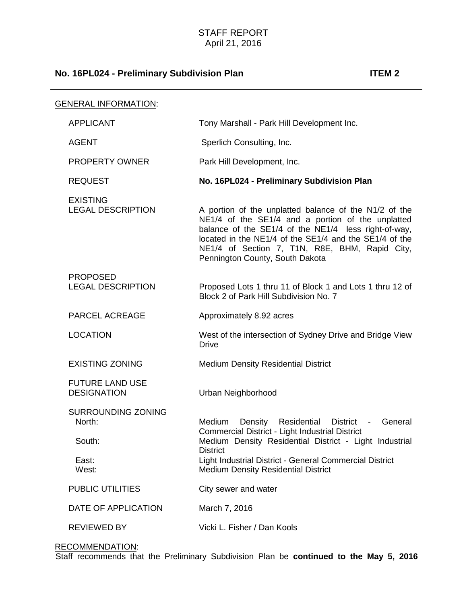| <u>GENERAL INFORMATION:</u>                                     |                                                                                                                                                                                                                                                                                                                   |
|-----------------------------------------------------------------|-------------------------------------------------------------------------------------------------------------------------------------------------------------------------------------------------------------------------------------------------------------------------------------------------------------------|
| <b>APPLICANT</b>                                                | Tony Marshall - Park Hill Development Inc.                                                                                                                                                                                                                                                                        |
| <b>AGENT</b>                                                    | Sperlich Consulting, Inc.                                                                                                                                                                                                                                                                                         |
| <b>PROPERTY OWNER</b>                                           | Park Hill Development, Inc.                                                                                                                                                                                                                                                                                       |
| <b>REQUEST</b>                                                  | No. 16PL024 - Preliminary Subdivision Plan                                                                                                                                                                                                                                                                        |
| <b>EXISTING</b><br><b>LEGAL DESCRIPTION</b>                     | A portion of the unplatted balance of the N1/2 of the<br>NE1/4 of the SE1/4 and a portion of the unplatted<br>balance of the SE1/4 of the NE1/4 less right-of-way,<br>located in the NE1/4 of the SE1/4 and the SE1/4 of the<br>NE1/4 of Section 7, T1N, R8E, BHM, Rapid City,<br>Pennington County, South Dakota |
| <b>PROPOSED</b><br><b>LEGAL DESCRIPTION</b>                     | Proposed Lots 1 thru 11 of Block 1 and Lots 1 thru 12 of<br>Block 2 of Park Hill Subdivision No. 7                                                                                                                                                                                                                |
| <b>PARCEL ACREAGE</b>                                           | Approximately 8.92 acres                                                                                                                                                                                                                                                                                          |
| <b>LOCATION</b>                                                 | West of the intersection of Sydney Drive and Bridge View<br><b>Drive</b>                                                                                                                                                                                                                                          |
| <b>EXISTING ZONING</b>                                          | <b>Medium Density Residential District</b>                                                                                                                                                                                                                                                                        |
| <b>FUTURE LAND USE</b><br><b>DESIGNATION</b>                    | Urban Neighborhood                                                                                                                                                                                                                                                                                                |
| <b>SURROUNDING ZONING</b><br>North:<br>South:<br>East:<br>West: | Medium<br>Density<br>Residential District -<br>General<br>Commercial District - Light Industrial District<br>Medium Density Residential District - Light Industrial<br><b>District</b><br>Light Industrial District - General Commercial District<br><b>Medium Density Residential District</b>                   |
| <b>PUBLIC UTILITIES</b>                                         | City sewer and water                                                                                                                                                                                                                                                                                              |
| DATE OF APPLICATION                                             | March 7, 2016                                                                                                                                                                                                                                                                                                     |
| <b>REVIEWED BY</b>                                              | Vicki L. Fisher / Dan Kools                                                                                                                                                                                                                                                                                       |

# RECOMMENDATION:

Staff recommends that the Preliminary Subdivision Plan be **continued to the May 5, 2016**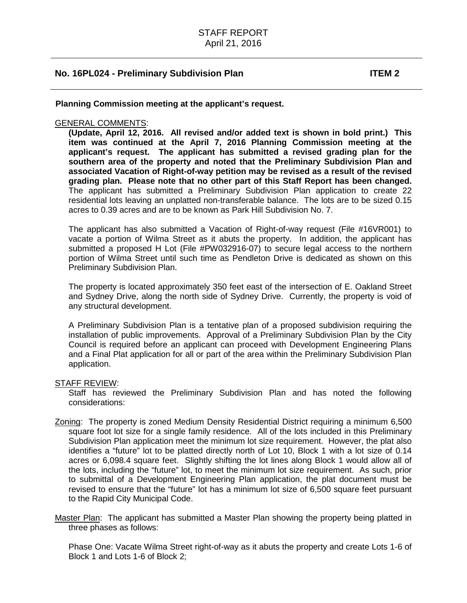**Planning Commission meeting at the applicant's request.** 

### GENERAL COMMENTS:

**(Update, April 12, 2016. All revised and/or added text is shown in bold print.) This item was continued at the April 7, 2016 Planning Commission meeting at the applicant's request. The applicant has submitted a revised grading plan for the southern area of the property and noted that the Preliminary Subdivision Plan and associated Vacation of Right-of-way petition may be revised as a result of the revised grading plan. Please note that no other part of this Staff Report has been changed.**  The applicant has submitted a Preliminary Subdivision Plan application to create 22 residential lots leaving an unplatted non-transferable balance. The lots are to be sized 0.15 acres to 0.39 acres and are to be known as Park Hill Subdivision No. 7.

The applicant has also submitted a Vacation of Right-of-way request (File #16VR001) to vacate a portion of Wilma Street as it abuts the property. In addition, the applicant has submitted a proposed H Lot (File #PW032916-07) to secure legal access to the northern portion of Wilma Street until such time as Pendleton Drive is dedicated as shown on this Preliminary Subdivision Plan.

The property is located approximately 350 feet east of the intersection of E. Oakland Street and Sydney Drive, along the north side of Sydney Drive. Currently, the property is void of any structural development.

A Preliminary Subdivision Plan is a tentative plan of a proposed subdivision requiring the installation of public improvements. Approval of a Preliminary Subdivision Plan by the City Council is required before an applicant can proceed with Development Engineering Plans and a Final Plat application for all or part of the area within the Preliminary Subdivision Plan application.

#### STAFF REVIEW:

Staff has reviewed the Preliminary Subdivision Plan and has noted the following considerations:

- Zoning: The property is zoned Medium Density Residential District requiring a minimum 6,500 square foot lot size for a single family residence. All of the lots included in this Preliminary Subdivision Plan application meet the minimum lot size requirement. However, the plat also identifies a "future" lot to be platted directly north of Lot 10, Block 1 with a lot size of 0.14 acres or 6,098.4 square feet. Slightly shifting the lot lines along Block 1 would allow all of the lots, including the "future" lot, to meet the minimum lot size requirement. As such, prior to submittal of a Development Engineering Plan application, the plat document must be revised to ensure that the "future" lot has a minimum lot size of 6,500 square feet pursuant to the Rapid City Municipal Code.
- Master Plan: The applicant has submitted a Master Plan showing the property being platted in three phases as follows:

Phase One: Vacate Wilma Street right-of-way as it abuts the property and create Lots 1-6 of Block 1 and Lots 1-6 of Block 2;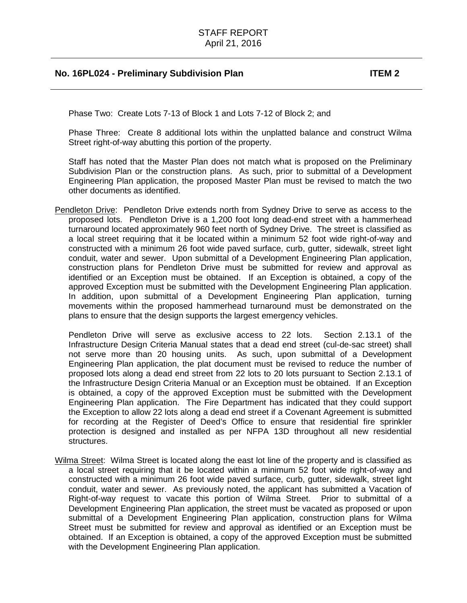Phase Two: Create Lots 7-13 of Block 1 and Lots 7-12 of Block 2; and

Phase Three: Create 8 additional lots within the unplatted balance and construct Wilma Street right-of-way abutting this portion of the property.

Staff has noted that the Master Plan does not match what is proposed on the Preliminary Subdivision Plan or the construction plans. As such, prior to submittal of a Development Engineering Plan application, the proposed Master Plan must be revised to match the two other documents as identified.

Pendleton Drive: Pendleton Drive extends north from Sydney Drive to serve as access to the proposed lots. Pendleton Drive is a 1,200 foot long dead-end street with a hammerhead turnaround located approximately 960 feet north of Sydney Drive. The street is classified as a local street requiring that it be located within a minimum 52 foot wide right-of-way and constructed with a minimum 26 foot wide paved surface, curb, gutter, sidewalk, street light conduit, water and sewer. Upon submittal of a Development Engineering Plan application, construction plans for Pendleton Drive must be submitted for review and approval as identified or an Exception must be obtained. If an Exception is obtained, a copy of the approved Exception must be submitted with the Development Engineering Plan application. In addition, upon submittal of a Development Engineering Plan application, turning movements within the proposed hammerhead turnaround must be demonstrated on the plans to ensure that the design supports the largest emergency vehicles.

Pendleton Drive will serve as exclusive access to 22 lots. Section 2.13.1 of the Infrastructure Design Criteria Manual states that a dead end street (cul-de-sac street) shall not serve more than 20 housing units. As such, upon submittal of a Development Engineering Plan application, the plat document must be revised to reduce the number of proposed lots along a dead end street from 22 lots to 20 lots pursuant to Section 2.13.1 of the Infrastructure Design Criteria Manual or an Exception must be obtained. If an Exception is obtained, a copy of the approved Exception must be submitted with the Development Engineering Plan application. The Fire Department has indicated that they could support the Exception to allow 22 lots along a dead end street if a Covenant Agreement is submitted for recording at the Register of Deed's Office to ensure that residential fire sprinkler protection is designed and installed as per NFPA 13D throughout all new residential structures.

Wilma Street: Wilma Street is located along the east lot line of the property and is classified as a local street requiring that it be located within a minimum 52 foot wide right-of-way and constructed with a minimum 26 foot wide paved surface, curb, gutter, sidewalk, street light conduit, water and sewer. As previously noted, the applicant has submitted a Vacation of Right-of-way request to vacate this portion of Wilma Street. Prior to submittal of a Development Engineering Plan application, the street must be vacated as proposed or upon submittal of a Development Engineering Plan application, construction plans for Wilma Street must be submitted for review and approval as identified or an Exception must be obtained. If an Exception is obtained, a copy of the approved Exception must be submitted with the Development Engineering Plan application.